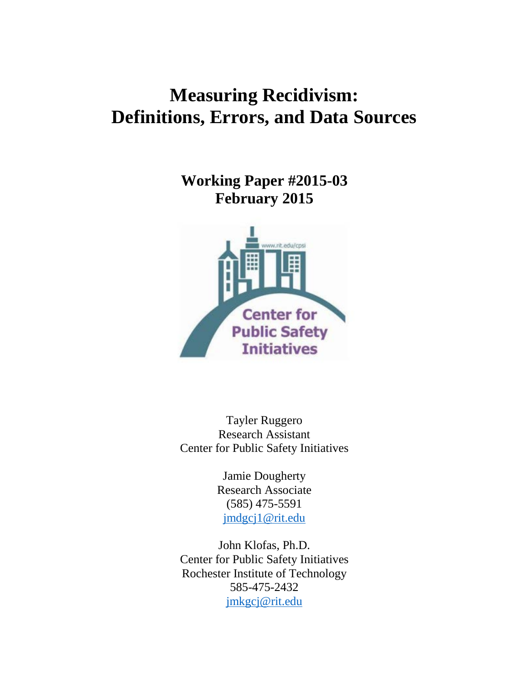# **Measuring Recidivism: Definitions, Errors, and Data Sources**

**Working Paper #2015-03 February 2015**



Tayler Ruggero Research Assistant Center for Public Safety Initiatives

> Jamie Dougherty Research Associate (585) 475-5591 [jmdgcj1@rit.edu](mailto:jmdgcj1@rit.edu)

John Klofas, Ph.D. Center for Public Safety Initiatives Rochester Institute of Technology 585-475-2432 [jmkgcj@rit.edu](mailto:jmkgcj@rit.edu)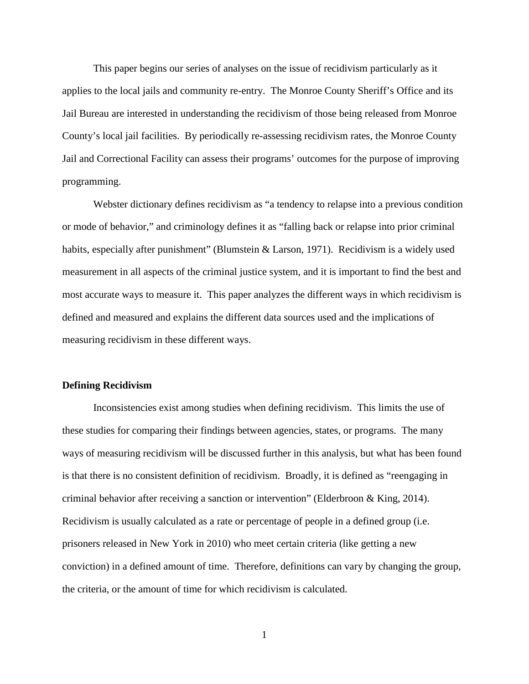This paper begins our series of analyses on the issue of recidivism particularly as it applies to the local jails and community re-entry. The Monroe County Sheriff's Office and its Jail Bureau are interested in understanding the recidivism of those being released from Monroe County's local jail facilities. By periodically re-assessing recidivism rates, the Monroe County Jail and Correctional Facility can assess their programs' outcomes for the purpose of improving programming.

Webster dictionary defines recidivism as "a tendency to relapse into a previous condition or mode of behavior," and criminology defines it as "falling back or relapse into prior criminal habits, especially after punishment" (Blumstein & Larson, 1971). Recidivism is a widely used measurement in all aspects of the criminal justice system, and it is important to find the best and most accurate ways to measure it. This paper analyzes the different ways in which recidivism is defined and measured and explains the different data sources used and the implications of measuring recidivism in these different ways.

## **Defining Recidivism**

Inconsistencies exist among studies when defining recidivism. This limits the use of these studies for comparing their findings between agencies, states, or programs. The many ways of measuring recidivism will be discussed further in this analysis, but what has been found is that there is no consistent definition of recidivism. Broadly, it is defined as "reengaging in criminal behavior after receiving a sanction or intervention" (Elderbroon & King, 2014). Recidivism is usually calculated as a rate or percentage of people in a defined group (i.e. prisoners released in New York in 2010) who meet certain criteria (like getting a new conviction) in a defined amount of time. Therefore, definitions can vary by changing the group, the criteria, or the amount of time for which recidivism is calculated.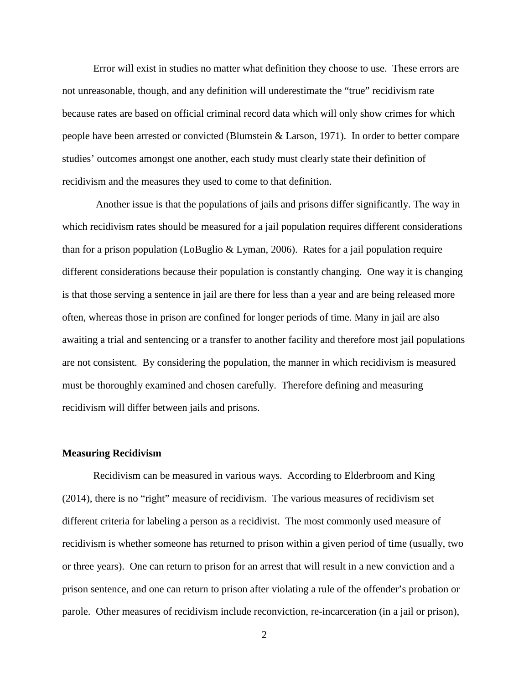Error will exist in studies no matter what definition they choose to use. These errors are not unreasonable, though, and any definition will underestimate the "true" recidivism rate because rates are based on official criminal record data which will only show crimes for which people have been arrested or convicted (Blumstein & Larson, 1971). In order to better compare studies' outcomes amongst one another, each study must clearly state their definition of recidivism and the measures they used to come to that definition.

Another issue is that the populations of jails and prisons differ significantly. The way in which recidivism rates should be measured for a jail population requires different considerations than for a prison population (LoBuglio & Lyman, 2006). Rates for a jail population require different considerations because their population is constantly changing. One way it is changing is that those serving a sentence in jail are there for less than a year and are being released more often, whereas those in prison are confined for longer periods of time. Many in jail are also awaiting a trial and sentencing or a transfer to another facility and therefore most jail populations are not consistent. By considering the population, the manner in which recidivism is measured must be thoroughly examined and chosen carefully. Therefore defining and measuring recidivism will differ between jails and prisons.

#### **Measuring Recidivism**

Recidivism can be measured in various ways. According to Elderbroom and King (2014), there is no "right" measure of recidivism. The various measures of recidivism set different criteria for labeling a person as a recidivist. The most commonly used measure of recidivism is whether someone has returned to prison within a given period of time (usually, two or three years). One can return to prison for an arrest that will result in a new conviction and a prison sentence, and one can return to prison after violating a rule of the offender's probation or parole. Other measures of recidivism include reconviction, re-incarceration (in a jail or prison),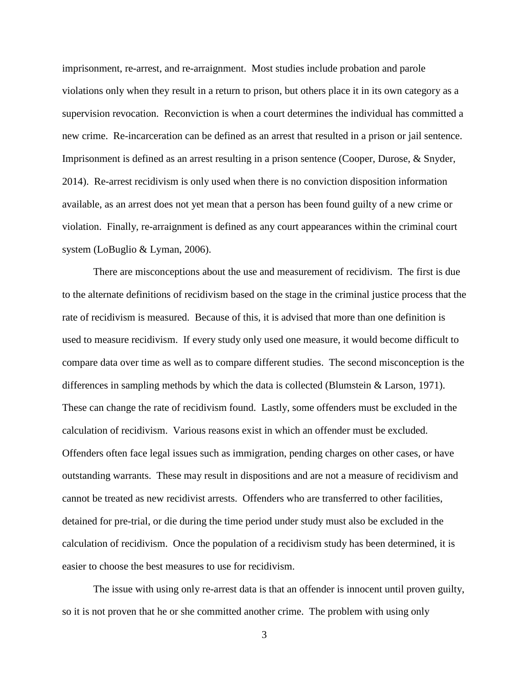imprisonment, re-arrest, and re-arraignment. Most studies include probation and parole violations only when they result in a return to prison, but others place it in its own category as a supervision revocation. Reconviction is when a court determines the individual has committed a new crime. Re-incarceration can be defined as an arrest that resulted in a prison or jail sentence. Imprisonment is defined as an arrest resulting in a prison sentence (Cooper, Durose, & Snyder, 2014). Re-arrest recidivism is only used when there is no conviction disposition information available, as an arrest does not yet mean that a person has been found guilty of a new crime or violation. Finally, re-arraignment is defined as any court appearances within the criminal court system (LoBuglio & Lyman, 2006).

There are misconceptions about the use and measurement of recidivism. The first is due to the alternate definitions of recidivism based on the stage in the criminal justice process that the rate of recidivism is measured. Because of this, it is advised that more than one definition is used to measure recidivism. If every study only used one measure, it would become difficult to compare data over time as well as to compare different studies. The second misconception is the differences in sampling methods by which the data is collected (Blumstein & Larson, 1971). These can change the rate of recidivism found. Lastly, some offenders must be excluded in the calculation of recidivism. Various reasons exist in which an offender must be excluded. Offenders often face legal issues such as immigration, pending charges on other cases, or have outstanding warrants. These may result in dispositions and are not a measure of recidivism and cannot be treated as new recidivist arrests. Offenders who are transferred to other facilities, detained for pre-trial, or die during the time period under study must also be excluded in the calculation of recidivism. Once the population of a recidivism study has been determined, it is easier to choose the best measures to use for recidivism.

The issue with using only re-arrest data is that an offender is innocent until proven guilty, so it is not proven that he or she committed another crime. The problem with using only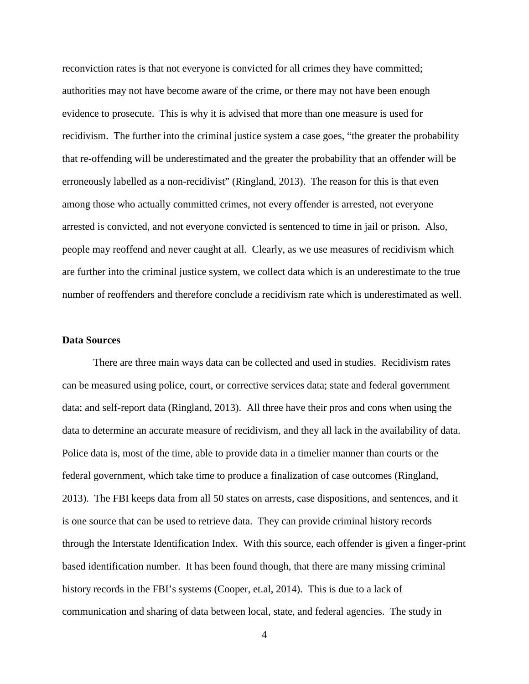reconviction rates is that not everyone is convicted for all crimes they have committed; authorities may not have become aware of the crime, or there may not have been enough evidence to prosecute. This is why it is advised that more than one measure is used for recidivism. The further into the criminal justice system a case goes, "the greater the probability that re-offending will be underestimated and the greater the probability that an offender will be erroneously labelled as a non-recidivist" (Ringland, 2013). The reason for this is that even among those who actually committed crimes, not every offender is arrested, not everyone arrested is convicted, and not everyone convicted is sentenced to time in jail or prison. Also, people may reoffend and never caught at all. Clearly, as we use measures of recidivism which are further into the criminal justice system, we collect data which is an underestimate to the true number of reoffenders and therefore conclude a recidivism rate which is underestimated as well.

### **Data Sources**

There are three main ways data can be collected and used in studies. Recidivism rates can be measured using police, court, or corrective services data; state and federal government data; and self-report data (Ringland, 2013). All three have their pros and cons when using the data to determine an accurate measure of recidivism, and they all lack in the availability of data. Police data is, most of the time, able to provide data in a timelier manner than courts or the federal government, which take time to produce a finalization of case outcomes (Ringland, 2013). The FBI keeps data from all 50 states on arrests, case dispositions, and sentences, and it is one source that can be used to retrieve data. They can provide criminal history records through the Interstate Identification Index. With this source, each offender is given a finger-print based identification number. It has been found though, that there are many missing criminal history records in the FBI's systems (Cooper, et.al, 2014). This is due to a lack of communication and sharing of data between local, state, and federal agencies. The study in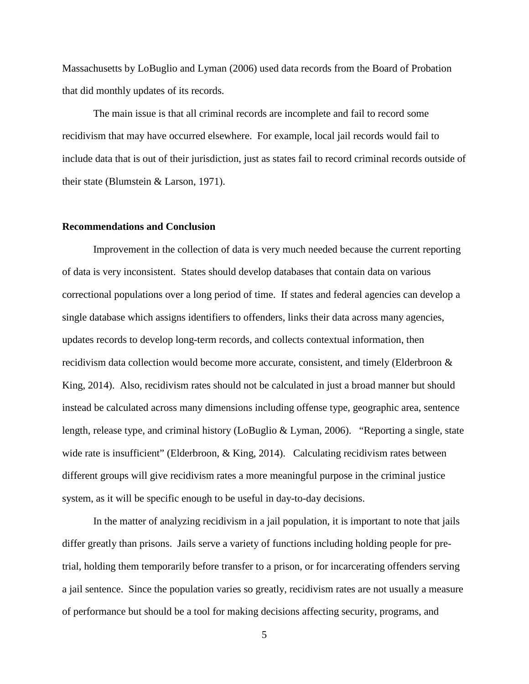Massachusetts by LoBuglio and Lyman (2006) used data records from the Board of Probation that did monthly updates of its records.

The main issue is that all criminal records are incomplete and fail to record some recidivism that may have occurred elsewhere. For example, local jail records would fail to include data that is out of their jurisdiction, just as states fail to record criminal records outside of their state (Blumstein & Larson, 1971).

## **Recommendations and Conclusion**

Improvement in the collection of data is very much needed because the current reporting of data is very inconsistent. States should develop databases that contain data on various correctional populations over a long period of time. If states and federal agencies can develop a single database which assigns identifiers to offenders, links their data across many agencies, updates records to develop long-term records, and collects contextual information, then recidivism data collection would become more accurate, consistent, and timely (Elderbroon & King, 2014). Also, recidivism rates should not be calculated in just a broad manner but should instead be calculated across many dimensions including offense type, geographic area, sentence length, release type, and criminal history (LoBuglio & Lyman, 2006). "Reporting a single, state wide rate is insufficient" (Elderbroon, & King, 2014). Calculating recidivism rates between different groups will give recidivism rates a more meaningful purpose in the criminal justice system, as it will be specific enough to be useful in day-to-day decisions.

In the matter of analyzing recidivism in a jail population, it is important to note that jails differ greatly than prisons. Jails serve a variety of functions including holding people for pretrial, holding them temporarily before transfer to a prison, or for incarcerating offenders serving a jail sentence. Since the population varies so greatly, recidivism rates are not usually a measure of performance but should be a tool for making decisions affecting security, programs, and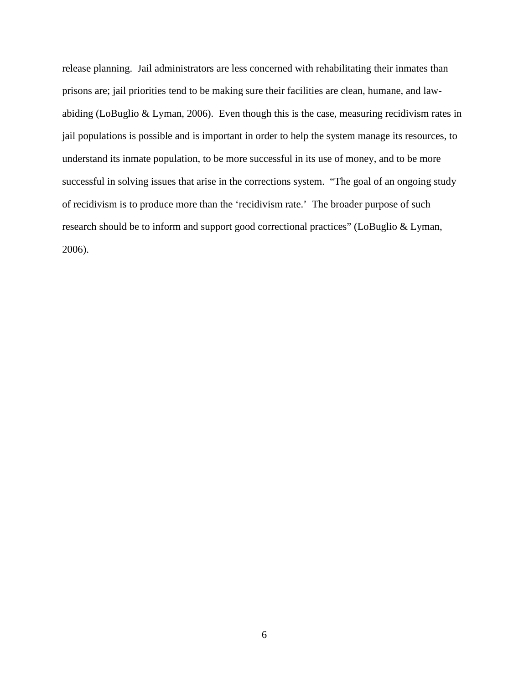release planning. Jail administrators are less concerned with rehabilitating their inmates than prisons are; jail priorities tend to be making sure their facilities are clean, humane, and lawabiding (LoBuglio & Lyman, 2006). Even though this is the case, measuring recidivism rates in jail populations is possible and is important in order to help the system manage its resources, to understand its inmate population, to be more successful in its use of money, and to be more successful in solving issues that arise in the corrections system. "The goal of an ongoing study of recidivism is to produce more than the 'recidivism rate.' The broader purpose of such research should be to inform and support good correctional practices" (LoBuglio & Lyman, 2006).